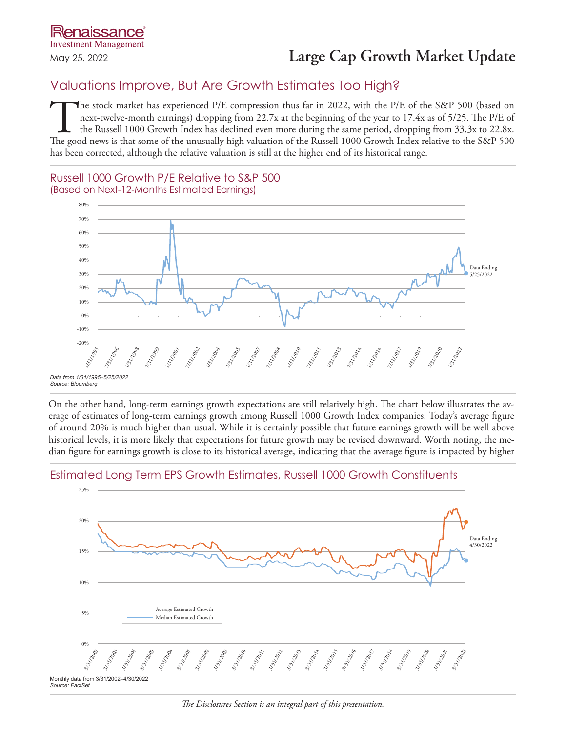# Valuations Improve, But Are Growth Estimates Too High?

The stock market has experienced P/E compression thus far in 2022, with the P/E of the S&P 500 (based on next-twelve-month earnings) dropping from 22.7x at the beginning of the year to 17.4x as of 5/25. The P/E of the Russell 1000 Growth Index has declined even more during the same period, dropping from 33.3x to 22.8x. The good news is that some of the unusually high valuation of the Russell 1000 Growth Index relative to the S&P 500 has been corrected, although the relative valuation is still at the higher end of its historical range.

# Russell 1000 Growth P/E Relative to S&P 500 (Based on Next-12-Months Estimated Earnings)



On the other hand, long-term earnings growth expectations are still relatively high. The chart below illustrates the average of estimates of long-term earnings growth among Russell 1000 Growth Index companies. Today's average figure of around 20% is much higher than usual. While it is certainly possible that future earnings growth will be well above historical levels, it is more likely that expectations for future growth may be revised downward. Worth noting, the median figure for earnings growth is close to its historical average, indicating that the average figure is impacted by higher

#### Monthly data from 3/31/2002–4/30/2022 *Source: FactSet*  $25%$ 20% 15% 0% 10% 5% 3/17002 3/1/2003 3/1/2004 3/1/2005 3/1/2006 3/1/2007 3/17008 3/12009 3/1/2010 3/1/2011 3/1/2012 3/31/2013 1/3/2011 3/1/2015 3/12016 3/1/2017 3/3/12015 3/12019 3/1/2020 3/3/2021 3/1/2022 Average Estimated Growth Median Estimated Growth Data Ending 4/30/2022

# Estimated Long Term EPS Growth Estimates, Russell 1000 Growth Constituents

*The Disclosures Section is an integral part of this presentation.*